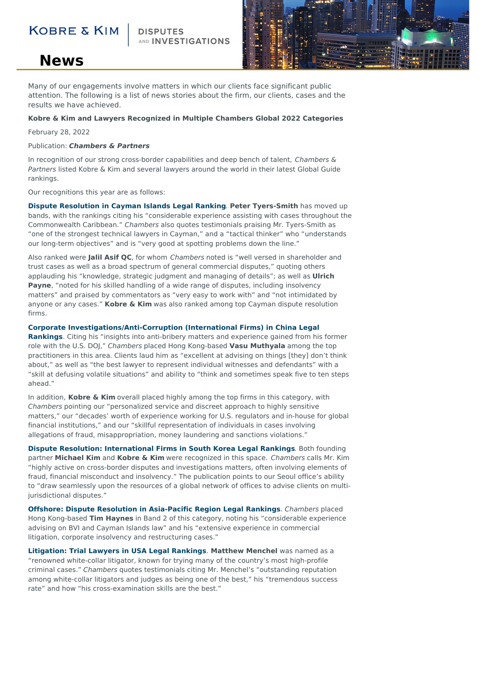### **KOBRE & KIM**

AND **INVESTIGATIONS** 



## **News**

Many of our engagements involve matters in which our clients face significant public attention. The following is a list of news stories about the firm, our clients, cases and the results we have achieved.

#### **Kobre & Kim and Lawyers Recognized in Multiple Chambers Global 2022 Categories**

February 28, 2022

#### Publication: **Chambers & Partners**

In recognition of our strong cross-border capabilities and deep bench of talent, Chambers  $\&$ Partners listed Kobre & Kim and several lawyers around the world in their latest Global Guide rankings.

Our recognitions this year are as follows:

**Dispute [Resolution](https://chambers.com/legal-rankings/dispute-resolution-cayman-islands-2:467:53:1) in Cayman Islands Legal Ranking**. **Peter Tyers-Smith** has moved up bands, with the rankings citing his "considerable experience assisting with cases throughout the Commonwealth Caribbean." Chambers also quotes testimonials praising Mr. Tyers-Smith as "one of the strongest technical lawyers in Cayman," and a "tactical thinker" who "understands our long-term objectives" and is "very good at spotting problems down the line."

Also ranked were **Jalil Asif QC**, for whom Chambers noted is "well versed in shareholder and trust cases as well as a broad spectrum of general commercial disputes," quoting others applauding his "knowledge, strategic judgment and managing of details"; as well as **Ulrich Payne**, "noted for his skilled handling of a wide range of disputes, including insolvency matters" and praised by commentators as "very easy to work with" and "not intimidated by anyone or any cases." **Kobre & Kim** was also ranked among top Cayman dispute resolution firms.

#### **Corporate [Investigations/Anti-Corruption](https://chambers.com/legal-rankings/corporate-investigations-anti-corruption-international-firms-china-2:2594:60:1) (International Firms) in China Legal**

**Rankings**. Citing his "insights into anti-bribery matters and experience gained from his former role with the U.S. DOJ," Chambers placed Hong Kong-based **Vasu Muthyala** among the top practitioners in this area. Clients laud him as "excellent at advising on things [they] don't think about," as well as "the best lawyer to represent individual witnesses and defendants" with a "skill at defusing volatile situations" and ability to "think and sometimes speak five to ten steps ahead."

In addition, **Kobre & Kim** overall placed highly among the top firms in this category, with Chambers pointing our "personalized service and discreet approach to highly sensitive matters," our "decades' worth of experience working for U.S. regulators and in-house for global financial institutions," and our "skillful representation of individuals in cases involving allegations of fraud, misappropriation, money laundering and sanctions violations."

**Dispute Resolution: [International](https://chambers.com/legal-rankings/dispute-resolution-international-firms-south-korea-8:2323:193:1) Firms in South Korea Legal Rankings**. Both founding partner **Michael Kim** and **Kobre & Kim** were recognized in this space. Chambers calls Mr. Kim "highly active on cross-border disputes and investigations matters, often involving elements of fraud, financial misconduct and insolvency." The publication points to our Seoul office's ability to "draw seamlessly upon the resources of a global network of offices to advise clients on multijurisdictional disputes."

**Offshore: Dispute Resolution in [Asia-Pacific](https://chambers.com/legal-rankings/offshore-dispute-resolution-asia-pacific-region-8:617:16084:1) Region Legal Rankings**. Chambers placed Hong Kong-based **Tim Haynes** in Band 2 of this category, noting his "considerable experience advising on BVI and Cayman Islands law" and his "extensive experience in commercial litigation, corporate insolvency and restructuring cases."

**[Litigation:](https://chambers.com/legal-rankings/litigation-trial-lawyers-usa-2:661:225:1) Trial Lawyers in USA Legal Rankings**. **Matthew Menchel** was named as a "renowned white-collar litigator, known for trying many of the country's most high-profile criminal cases." Chambers quotes testimonials citing Mr. Menchel's "outstanding reputation among white-collar litigators and judges as being one of the best," his "tremendous success rate" and how "his cross-examination skills are the best."